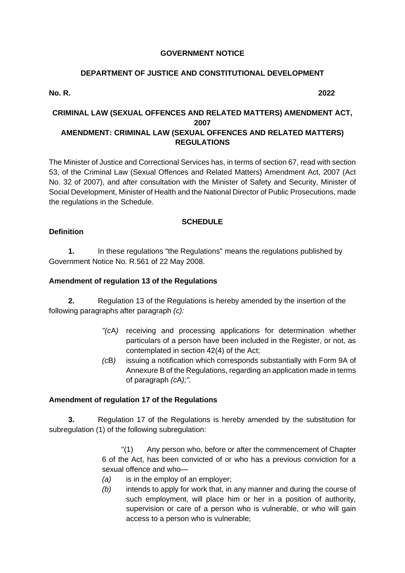### **GOVERNMENT NOTICE**

## **DEPARTMENT OF JUSTICE AND CONSTITUTIONAL DEVELOPMENT**

**No. R. 2022**

## **CRIMINAL LAW (SEXUAL OFFENCES AND RELATED MATTERS) AMENDMENT ACT, 2007 AMENDMENT: CRIMINAL LAW (SEXUAL OFFENCES AND RELATED MATTERS) REGULATIONS**

The Minister of Justice and Correctional Services has, in terms of section 67, read with section 53, of the Criminal Law (Sexual Offences and Related Matters) Amendment Act, 2007 (Act No. 32 of 2007), and after consultation with the Minister of Safety and Security, Minister of Social Development, Minister of Health and the National Director of Public Prosecutions, made the regulations in the Schedule.

## **SCHEDULE**

## **Definition**

**1.** In these regulations "the Regulations" means the regulations published by Government Notice No. R.561 of 22 May 2008.

## **Amendment of regulation 13 of the Regulations**

**2.** Regulation 13 of the Regulations is hereby amended by the insertion of the following paragraphs after paragraph *(c):*

- *"(c*A*)* receiving and processing applications for determination whether particulars of a person have been included in the Register, or not, as contemplated in section 42(4) of the Act;
- *(c*B*)* issuing a notification which corresponds substantially with Form 9A of Annexure B of the Regulations, regarding an application made in terms of paragraph *(c*A*);".*

# **Amendment of regulation 17 of the Regulations**

**3.** Regulation 17 of the Regulations is hereby amended by the substitution for subregulation (1) of the following subregulation:

> "(1) Any person who, before or after the commencement of Chapter 6 of the Act, has been convicted of or who has a previous conviction for a sexual offence and who—

- *(a)* is in the employ of an employer;
- *(b)* intends to apply for work that, in any manner and during the course of such employment, will place him or her in a position of authority, supervision or care of a person who is vulnerable, or who will gain access to a person who is vulnerable;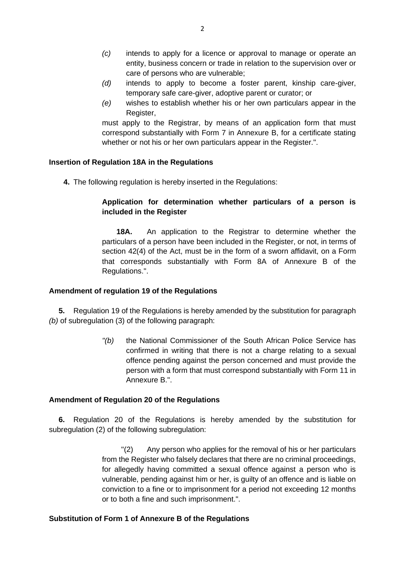- *(c)* intends to apply for a licence or approval to manage or operate an entity, business concern or trade in relation to the supervision over or care of persons who are vulnerable;
- *(d)* intends to apply to become a foster parent, kinship care-giver, temporary safe care-giver, adoptive parent or curator; or
- *(e)* wishes to establish whether his or her own particulars appear in the Register,

must apply to the Registrar, by means of an application form that must correspond substantially with Form 7 in Annexure B, for a certificate stating whether or not his or her own particulars appear in the Register.".

### **Insertion of Regulation 18A in the Regulations**

**4.** The following regulation is hereby inserted in the Regulations:

## **Application for determination whether particulars of a person is included in the Register**

**18A.** An application to the Registrar to determine whether the particulars of a person have been included in the Register, or not, in terms of section 42(4) of the Act, must be in the form of a sworn affidavit, on a Form that corresponds substantially with Form 8A of Annexure B of the Regulations.".

### **Amendment of regulation 19 of the Regulations**

**5.** Regulation 19 of the Regulations is hereby amended by the substitution for paragraph *(b)* of subregulation (3) of the following paragraph:

> *"(b)* the National Commissioner of the South African Police Service has confirmed in writing that there is not a charge relating to a sexual offence pending against the person concerned and must provide the person with a form that must correspond substantially with Form 11 in Annexure B.".

### **Amendment of Regulation 20 of the Regulations**

**6.** Regulation 20 of the Regulations is hereby amended by the substitution for subregulation (2) of the following subregulation:

> "(2) Any person who applies for the removal of his or her particulars from the Register who falsely declares that there are no criminal proceedings, for allegedly having committed a sexual offence against a person who is vulnerable, pending against him or her, is guilty of an offence and is liable on conviction to a fine or to imprisonment for a period not exceeding 12 months or to both a fine and such imprisonment.".

## **Substitution of Form 1 of Annexure B of the Regulations**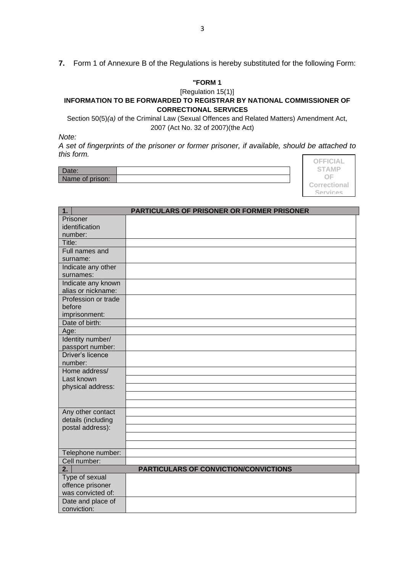**7.** Form 1 of Annexure B of the Regulations is hereby substituted for the following Form:

#### **"FORM 1**

## [Regulation 15(1)]

### **INFORMATION TO BE FORWARDED TO REGISTRAR BY NATIONAL COMMISSIONER OF CORRECTIONAL SERVICES**

Section 50(5)*(a)* of the Criminal Law (Sexual Offences and Related Matters) Amendment Act, 2007 (Act No. 32 of 2007)(the Act)

*Note:*

*A set of fingerprints of the prisoner or former prisoner, if available, should be attached to this form.* Г

| υαισ.           |  |
|-----------------|--|
| Name of prison: |  |

| OFFICIAL     |
|--------------|
| <b>STAMP</b> |
| OF           |
| Correctional |
| Sarvicas     |

| 1.                      | PARTICULARS OF PRISONER OR FORMER PRISONER   |
|-------------------------|----------------------------------------------|
| Prisoner                |                                              |
| identification          |                                              |
| number:                 |                                              |
| Title:                  |                                              |
| Full names and          |                                              |
| surname:                |                                              |
| Indicate any other      |                                              |
| surnames:               |                                              |
| Indicate any known      |                                              |
| alias or nickname:      |                                              |
| Profession or trade     |                                              |
| before                  |                                              |
| imprisonment:           |                                              |
| Date of birth:          |                                              |
| Age:                    |                                              |
| Identity number/        |                                              |
| passport number:        |                                              |
| <b>Driver's licence</b> |                                              |
| number:                 |                                              |
| Home address/           |                                              |
| Last known              |                                              |
| physical address:       |                                              |
|                         |                                              |
|                         |                                              |
| Any other contact       |                                              |
| details (including      |                                              |
| postal address):        |                                              |
|                         |                                              |
|                         |                                              |
| Telephone number:       |                                              |
| Cell number:            |                                              |
| 2.                      | <b>PARTICULARS OF CONVICTION/CONVICTIONS</b> |
| Type of sexual          |                                              |
| offence prisoner        |                                              |
| was convicted of:       |                                              |
| Date and place of       |                                              |
| conviction:             |                                              |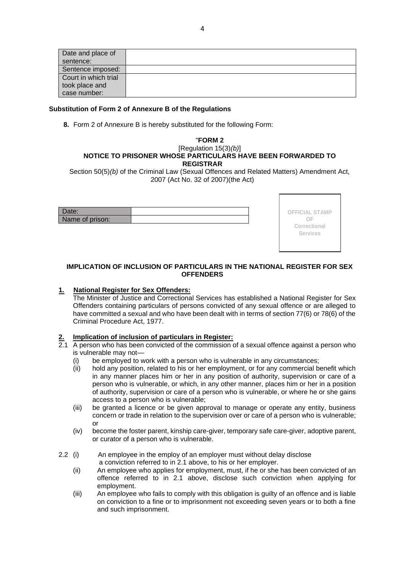| Date and place of    |  |
|----------------------|--|
| sentence:            |  |
| Sentence imposed:    |  |
| Court in which trial |  |
| took place and       |  |
| case number:         |  |

### **Substitution of Form 2 of Annexure B of the Regulations**

**8.** Form 2 of Annexure B is hereby substituted for the following Form:

#### "**FORM 2** [Regulation 15(3)*(b)*] **NOTICE TO PRISONER WHOSE PARTICULARS HAVE BEEN FORWARDED TO REGISTRAR**

Section 50(5)*(b)* of the Criminal Law (Sexual Offences and Related Matters) Amendment Act, 2007 (Act No. 32 of 2007)(the Act)

| Name of prison: |  |
|-----------------|--|



### **IMPLICATION OF INCLUSION OF PARTICULARS IN THE NATIONAL REGISTER FOR SEX OFFENDERS**

## **1. National Register for Sex Offenders:**

The Minister of Justice and Correctional Services has established a National Register for Sex Offenders containing particulars of persons convicted of any sexual offence or are alleged to have committed a sexual and who have been dealt with in terms of section 77(6) or 78(6) of the Criminal Procedure Act, 1977.

# **2. Implication of inclusion of particulars in Register:**

- 2.1 A person who has been convicted of the commission of a sexual offence against a person who is vulnerable may not—
	- (i) be employed to work with a person who is vulnerable in any circumstances;
	- (ii) hold any position, related to his or her employment, or for any commercial benefit which in any manner places him or her in any position of authority, supervision or care of a person who is vulnerable, or which, in any other manner, places him or her in a position of authority, supervision or care of a person who is vulnerable, or where he or she gains access to a person who is vulnerable;
	- (iii) be granted a licence or be given approval to manage or operate any entity, business concern or trade in relation to the supervision over or care of a person who is vulnerable; or
	- (iv) become the foster parent, kinship care-giver, temporary safe care-giver, adoptive parent, or curator of a person who is vulnerable.
- 2.2 (i) An employee in the employ of an employer must without delay disclose a conviction referred to in 2.1 above, to his or her employer.
	- (ii) An employee who applies for employment, must, if he or she has been convicted of an offence referred to in 2.1 above, disclose such conviction when applying for employment.
	- (iii) An employee who fails to comply with this obligation is guilty of an offence and is liable on conviction to a fine or to imprisonment not exceeding seven years or to both a fine and such imprisonment.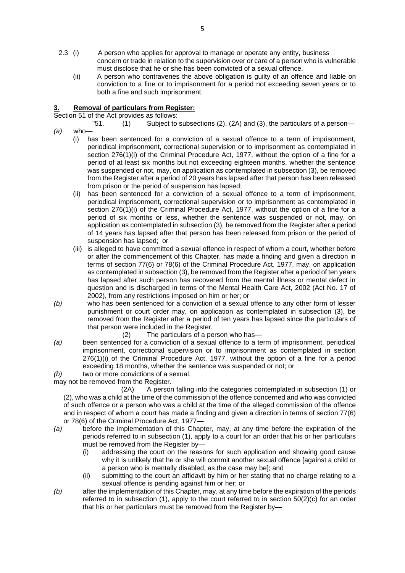- 2.3 (i) A person who applies for approval to manage or operate any entity, business concern or trade in relation to the supervision over or care of a person who is vulnerable must disclose that he or she has been convicted of a sexual offence.
	- (ii) A person who contravenes the above obligation is guilty of an offence and liable on conviction to a fine or to imprisonment for a period not exceeding seven years or to both a fine and such imprisonment.

### **3. Removal of particulars from Register:**

Section 51 of the Act provides as follows:

- "51. (1) Subject to subsections (2), (2A) and (3), the particulars of a person— *(a)* who—
	- (i) has been sentenced for a conviction of a sexual offence to a term of imprisonment, periodical imprisonment, correctional supervision or to imprisonment as contemplated in section 276(1)(i) of the Criminal Procedure Act, 1977, without the option of a fine for a period of at least six months but not exceeding eighteen months, whether the sentence was suspended or not, may, on application as contemplated in subsection (3), be removed from the Register after a period of 20 years has lapsed after that person has been released from prison or the period of suspension has lapsed;
		- (ii) has been sentenced for a conviction of a sexual offence to a term of imprisonment, periodical imprisonment, correctional supervision or to imprisonment as contemplated in section 276(1)(i) of the Criminal Procedure Act, 1977, without the option of a fine for a period of six months or less, whether the sentence was suspended or not, may, on application as contemplated in subsection (3), be removed from the Register after a period of 14 years has lapsed after that person has been released from prison or the period of suspension has lapsed; or
		- (iii) is alleged to have committed a sexual offence in respect of whom a court, whether before or after the commencement of this Chapter, has made a finding and given a direction in terms of section 77(6) or 78(6) of the Criminal Procedure Act, 1977, may, on application as contemplated in subsection (3), be removed from the Register after a period of ten years has lapsed after such person has recovered from the mental illness or mental defect in question and is discharged in terms of the Mental Health Care Act, 2002 (Act No. 17 of 2002), from any restrictions imposed on him or her; or
- *(b)* who has been sentenced for a conviction of a sexual offence to any other form of lesser punishment or court order may, on application as contemplated in subsection (3), be removed from the Register after a period of ten years has lapsed since the particulars of that person were included in the Register.
	- (2) The particulars of a person who has—
- *(a)* been sentenced for a conviction of a sexual offence to a term of imprisonment, periodical imprisonment, correctional supervision or to imprisonment as contemplated in section 276(1)(i) of the Criminal Procedure Act, 1977, without the option of a fine for a period exceeding 18 months, whether the sentence was suspended or not; or

*(b)* two or more convictions of a sexual,

may not be removed from the Register.

(2A) A person falling into the categories contemplated in subsection (1) or (2), who was a child at the time of the commission of the offence concerned and who was convicted of such offence or a person who was a child at the time of the alleged commission of the offence and in respect of whom a court has made a finding and given a direction in terms of section 77(6) or 78(6) of the Criminal Procedure Act, 1977—

- *(a)* before the implementation of this Chapter, may, at any time before the expiration of the periods referred to in subsection (1), apply to a court for an order that his or her particulars must be removed from the Register by—
	- (i) addressing the court on the reasons for such application and showing good cause why it is unlikely that he or she will commit another sexual offence [against a child or a person who is mentally disabled, as the case may be]; and
	- (ii) submitting to the court an affidavit by him or her stating that no charge relating to a sexual offence is pending against him or her; or
- *(b)* after the implementation of this Chapter, may, at any time before the expiration of the periods referred to in subsection  $(1)$ , apply to the court referred to in section  $50(2)(c)$  for an order that his or her particulars must be removed from the Register by—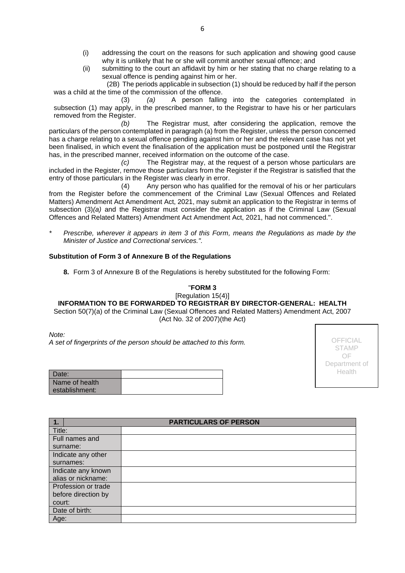- (i) addressing the court on the reasons for such application and showing good cause why it is unlikely that he or she will commit another sexual offence; and
- (ii) submitting to the court an affidavit by him or her stating that no charge relating to a sexual offence is pending against him or her.

(2B) The periods applicable in subsection (1) should be reduced by half if the person was a child at the time of the commission of the offence.

(3) *(a)* A person falling into the categories contemplated in subsection (1) may apply, in the prescribed manner, to the Registrar to have his or her particulars removed from the Register.

*(b)* The Registrar must, after considering the application, remove the particulars of the person contemplated in paragraph (a) from the Register, unless the person concerned has a charge relating to a sexual offence pending against him or her and the relevant case has not yet been finalised, in which event the finalisation of the application must be postponed until the Registrar has, in the prescribed manner, received information on the outcome of the case.

*(c)* The Registrar may, at the request of a person whose particulars are included in the Register, remove those particulars from the Register if the Registrar is satisfied that the entry of those particulars in the Register was clearly in error.

(4) Any person who has qualified for the removal of his or her particulars from the Register before the commencement of the Criminal Law (Sexual Offences and Related Matters) Amendment Act Amendment Act, 2021, may submit an application to the Registrar in terms of subsection (3)*(a)* and the Registrar must consider the application as if the Criminal Law (Sexual Offences and Related Matters) Amendment Act Amendment Act, 2021, had not commenced.".

*\* Prescribe, wherever it appears in item 3 of this Form, means the Regulations as made by the Minister of Justice and Correctional services.".*

### **Substitution of Form 3 of Annexure B of the Regulations**

**8.** Form 3 of Annexure B of the Regulations is hereby substituted for the following Form:

### "**FORM 3**

[Regulation 15(4)] **INFORMATION TO BE FORWARDED TO REGISTRAR BY DIRECTOR-GENERAL: HEALTH** Section 50(7)(a) of the Criminal Law (Sexual Offences and Related Matters) Amendment Act, 2007 (Act No. 32 of 2007)(the Act)

*Note:*

*A set of fingerprints of the person should be attached to this form.*

OFFICIAL STAMP OF Department of Health

| Date:          |  |
|----------------|--|
| Name of health |  |
| establishment: |  |

| $\overline{1}$ .    | <b>PARTICULARS OF PERSON</b> |
|---------------------|------------------------------|
| Title:              |                              |
| Full names and      |                              |
| surname:            |                              |
| Indicate any other  |                              |
| surnames:           |                              |
| Indicate any known  |                              |
| alias or nickname:  |                              |
| Profession or trade |                              |
| before direction by |                              |
| court:              |                              |
| Date of birth:      |                              |
| Age:                |                              |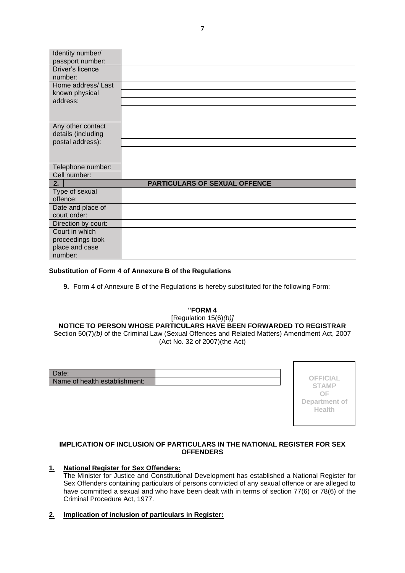| Identity number/    |                                      |
|---------------------|--------------------------------------|
| passport number:    |                                      |
| Driver's licence    |                                      |
| number:             |                                      |
| Home address/Last   |                                      |
| known physical      |                                      |
| address:            |                                      |
|                     |                                      |
|                     |                                      |
| Any other contact   |                                      |
| details (including  |                                      |
| postal address):    |                                      |
|                     |                                      |
|                     |                                      |
| Telephone number:   |                                      |
| Cell number:        |                                      |
| 2.                  | <b>PARTICULARS OF SEXUAL OFFENCE</b> |
| Type of sexual      |                                      |
| offence:            |                                      |
| Date and place of   |                                      |
| court order:        |                                      |
| Direction by court: |                                      |
| Court in which      |                                      |
| proceedings took    |                                      |
| place and case      |                                      |
| number:             |                                      |

### **Substitution of Form 4 of Annexure B of the Regulations**

**9.** Form 4 of Annexure B of the Regulations is hereby substituted for the following Form:

## **"FORM 4** [Regulation 15(6)*(b)]*

**NOTICE TO PERSON WHOSE PARTICULARS HAVE BEEN FORWARDED TO REGISTRAR** Section 50(7)*(b)* of the Criminal Law (Sexual Offences and Related Matters) Amendment Act, 2007 (Act No. 32 of 2007)(the Act)

| Date:                         |  |
|-------------------------------|--|
| Name of health establishment: |  |

**OFFICIAL STAMP OF Department of Health**

### **IMPLICATION OF INCLUSION OF PARTICULARS IN THE NATIONAL REGISTER FOR SEX OFFENDERS**

# **1. National Register for Sex Offenders:**

The Minister for Justice and Constitutional Development has established a National Register for Sex Offenders containing particulars of persons convicted of any sexual offence or are alleged to have committed a sexual and who have been dealt with in terms of section 77(6) or 78(6) of the Criminal Procedure Act, 1977.

**2. Implication of inclusion of particulars in Register:**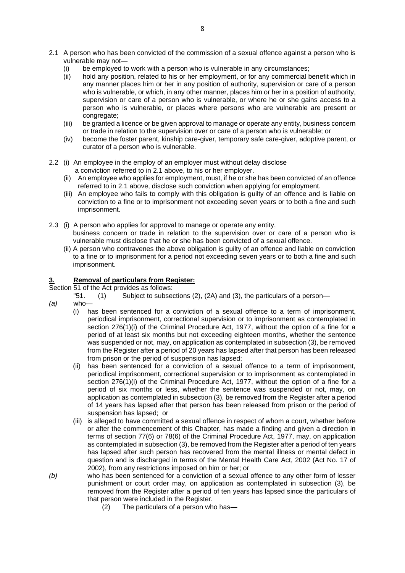- 2.1 A person who has been convicted of the commission of a sexual offence against a person who is vulnerable may not
	- be employed to work with a person who is vulnerable in any circumstances;
	- (ii) hold any position, related to his or her employment, or for any commercial benefit which in any manner places him or her in any position of authority, supervision or care of a person who is vulnerable, or which, in any other manner, places him or her in a position of authority, supervision or care of a person who is vulnerable, or where he or she gains access to a person who is vulnerable, or places where persons who are vulnerable are present or congregate;
	- (iii) be granted a licence or be given approval to manage or operate any entity, business concern or trade in relation to the supervision over or care of a person who is vulnerable; or
	- (iv) become the foster parent, kinship care-giver, temporary safe care-giver, adoptive parent, or curator of a person who is vulnerable.
- 2.2 (i) An employee in the employ of an employer must without delay disclose a conviction referred to in 2.1 above, to his or her employer.
	- (ii) An employee who applies for employment, must, if he or she has been convicted of an offence referred to in 2.1 above, disclose such conviction when applying for employment.
	- (iii) An employee who fails to comply with this obligation is guilty of an offence and is liable on conviction to a fine or to imprisonment not exceeding seven years or to both a fine and such imprisonment.
- 2.3 (i) A person who applies for approval to manage or operate any entity, business concern or trade in relation to the supervision over or care of a person who is vulnerable must disclose that he or she has been convicted of a sexual offence.
	- (ii) A person who contravenes the above obligation is guilty of an offence and liable on conviction to a fine or to imprisonment for a period not exceeding seven years or to both a fine and such imprisonment.

### **3. Removal of particulars from Register:**

Section 51 of the Act provides as follows:

- "51. (1) Subject to subsections (2), (2A) and (3), the particulars of a person—
- *(a)* who—
	- (i) has been sentenced for a conviction of a sexual offence to a term of imprisonment, periodical imprisonment, correctional supervision or to imprisonment as contemplated in section 276(1)(i) of the Criminal Procedure Act, 1977, without the option of a fine for a period of at least six months but not exceeding eighteen months, whether the sentence was suspended or not, may, on application as contemplated in subsection (3), be removed from the Register after a period of 20 years has lapsed after that person has been released from prison or the period of suspension has lapsed;
	- (ii) has been sentenced for a conviction of a sexual offence to a term of imprisonment, periodical imprisonment, correctional supervision or to imprisonment as contemplated in section 276(1)(i) of the Criminal Procedure Act, 1977, without the option of a fine for a period of six months or less, whether the sentence was suspended or not, may, on application as contemplated in subsection (3), be removed from the Register after a period of 14 years has lapsed after that person has been released from prison or the period of suspension has lapsed; or
	- (iii) is alleged to have committed a sexual offence in respect of whom a court, whether before or after the commencement of this Chapter, has made a finding and given a direction in terms of section 77(6) or 78(6) of the Criminal Procedure Act, 1977, may, on application as contemplated in subsection (3), be removed from the Register after a period of ten years has lapsed after such person has recovered from the mental illness or mental defect in question and is discharged in terms of the Mental Health Care Act, 2002 (Act No. 17 of 2002), from any restrictions imposed on him or her; or
- *(b)* who has been sentenced for a conviction of a sexual offence to any other form of lesser punishment or court order may, on application as contemplated in subsection (3), be removed from the Register after a period of ten years has lapsed since the particulars of that person were included in the Register.
	- (2) The particulars of a person who has—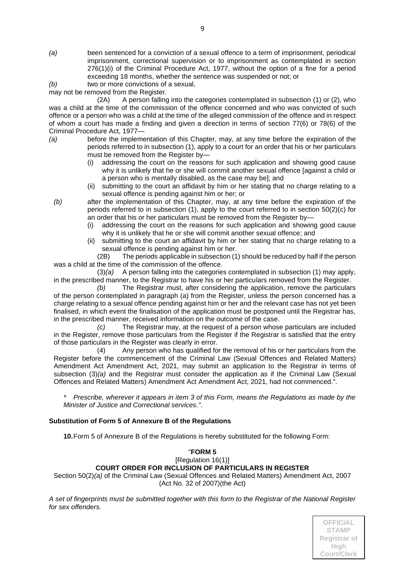- *(a)* been sentenced for a conviction of a sexual offence to a term of imprisonment, periodical imprisonment, correctional supervision or to imprisonment as contemplated in section 276(1)(i) of the Criminal Procedure Act, 1977, without the option of a fine for a period exceeding 18 months, whether the sentence was suspended or not; or
- *(b)* two or more convictions of a sexual,

may not be removed from the Register.

(2A) A person falling into the categories contemplated in subsection (1) or (2), who was a child at the time of the commission of the offence concerned and who was convicted of such offence or a person who was a child at the time of the alleged commission of the offence and in respect of whom a court has made a finding and given a direction in terms of section 77(6) or 78(6) of the Criminal Procedure Act, 1977—

- *(a)* before the implementation of this Chapter, may, at any time before the expiration of the periods referred to in subsection (1), apply to a court for an order that his or her particulars must be removed from the Register by-
	- (i) addressing the court on the reasons for such application and showing good cause why it is unlikely that he or she will commit another sexual offence [against a child or a person who is mentally disabled, as the case may be]; and
	- (ii) submitting to the court an affidavit by him or her stating that no charge relating to a sexual offence is pending against him or her; or
	- *(b)* after the implementation of this Chapter, may, at any time before the expiration of the periods referred to in subsection (1), apply to the court referred to in section 50(2)(c) for an order that his or her particulars must be removed from the Register by—
		- (i) addressing the court on the reasons for such application and showing good cause why it is unlikely that he or she will commit another sexual offence; and
		- (ii) submitting to the court an affidavit by him or her stating that no charge relating to a sexual offence is pending against him or her.

(2B) The periods applicable in subsection (1) should be reduced by half if the person was a child at the time of the commission of the offence.

(3)*(a)* A person falling into the categories contemplated in subsection (1) may apply, in the prescribed manner, to the Registrar to have his or her particulars removed from the Register.

*(b)* The Registrar must, after considering the application, remove the particulars of the person contemplated in paragraph (a) from the Register, unless the person concerned has a charge relating to a sexual offence pending against him or her and the relevant case has not yet been finalised, in which event the finalisation of the application must be postponed until the Registrar has, in the prescribed manner, received information on the outcome of the case.

*(c)* The Registrar may, at the request of a person whose particulars are included in the Register, remove those particulars from the Register if the Registrar is satisfied that the entry of those particulars in the Register was clearly in error.

(4) Any person who has qualified for the removal of his or her particulars from the Register before the commencement of the Criminal Law (Sexual Offences and Related Matters) Amendment Act Amendment Act, 2021, may submit an application to the Registrar in terms of subsection (3)*(a)* and the Registrar must consider the application as if the Criminal Law (Sexual Offences and Related Matters) Amendment Act Amendment Act, 2021, had not commenced.".

*\* Prescribe, wherever it appears in item 3 of this Form, means the Regulations as made by the Minister of Justice and Correctional services.".*

### **Substitution of Form 5 of Annexure B of the Regulations**

**10.**Form 5 of Annexure B of the Regulations is hereby substituted for the following Form:

#### "**FORM 5** [Regulation 16(1)] **COURT ORDER FOR INCLUSION OF PARTICULARS IN REGISTER** Section 50(2)*(a)* of the Criminal Law (Sexual Offences and Related Matters) Amendment Act, 2007

(Act No. 32 of 2007)(the Act)

*A set of fingerprints must be submitted together with this form to the Registrar of the National Register for sex offenders.*

**of Court**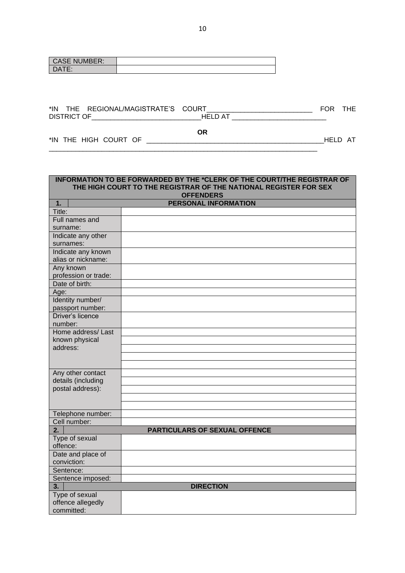| <b>CASE</b><br><b>T NUMBER:</b> |  |
|---------------------------------|--|
| <b>DATE:</b><br>∟ר ו∟.          |  |

| *IN | ΉE              | I /MAGISTRATF'S<br>REGIC<br>IAINC | COLIRT. | ⊏∩⊾ |  |
|-----|-----------------|-----------------------------------|---------|-----|--|
|     | <b>DISTRICT</b> |                                   | ᄟ       |     |  |

**OR**

\_\_\_\_\_\_\_\_\_\_\_\_\_\_\_\_\_\_\_\_\_\_\_\_\_\_\_\_\_\_\_\_\_\_\_\_\_\_\_\_\_\_\_\_\_\_\_\_\_\_\_\_\_\_\_\_\_\_\_\_\_\_\_\_\_\_\_\_\_\_\_

\*IN THE HIGH COURT OF \_\_\_\_\_\_\_\_\_\_\_\_\_\_\_\_\_\_\_\_\_\_\_\_\_\_\_\_\_\_\_\_\_\_\_\_\_\_\_\_\_\_\_\_\_\_\_HELD AT

| INFORMATION TO BE FORWARDED BY THE *CLERK OF THE COURT/THE REGISTRAR OF<br>THE HIGH COURT TO THE REGISTRAR OF THE NATIONAL REGISTER FOR SEX |                                      |  |
|---------------------------------------------------------------------------------------------------------------------------------------------|--------------------------------------|--|
| <b>OFFENDERS</b>                                                                                                                            |                                      |  |
| 1.                                                                                                                                          | PERSONAL INFORMATION                 |  |
| Title:                                                                                                                                      |                                      |  |
| Full names and                                                                                                                              |                                      |  |
| surname:                                                                                                                                    |                                      |  |
| Indicate any other                                                                                                                          |                                      |  |
| surnames:                                                                                                                                   |                                      |  |
| Indicate any known                                                                                                                          |                                      |  |
| alias or nickname:                                                                                                                          |                                      |  |
| Any known                                                                                                                                   |                                      |  |
| profession or trade:                                                                                                                        |                                      |  |
| Date of birth:                                                                                                                              |                                      |  |
| Age:                                                                                                                                        |                                      |  |
| Identity number/                                                                                                                            |                                      |  |
| passport number:                                                                                                                            |                                      |  |
| Driver's licence                                                                                                                            |                                      |  |
| number:                                                                                                                                     |                                      |  |
| Home address/Last                                                                                                                           |                                      |  |
| known physical<br>address:                                                                                                                  |                                      |  |
|                                                                                                                                             |                                      |  |
|                                                                                                                                             |                                      |  |
| Any other contact                                                                                                                           |                                      |  |
| details (including                                                                                                                          |                                      |  |
| postal address):                                                                                                                            |                                      |  |
|                                                                                                                                             |                                      |  |
|                                                                                                                                             |                                      |  |
| Telephone number:                                                                                                                           |                                      |  |
| Cell number:                                                                                                                                |                                      |  |
| $\overline{2}$ .                                                                                                                            | <b>PARTICULARS OF SEXUAL OFFENCE</b> |  |
| Type of sexual                                                                                                                              |                                      |  |
| offence:                                                                                                                                    |                                      |  |
| Date and place of                                                                                                                           |                                      |  |
| conviction:                                                                                                                                 |                                      |  |
| Sentence:                                                                                                                                   |                                      |  |
| Sentence imposed:                                                                                                                           |                                      |  |
| 3.                                                                                                                                          | <b>DIRECTION</b>                     |  |
| Type of sexual                                                                                                                              |                                      |  |
| offence allegedly                                                                                                                           |                                      |  |
| committed:                                                                                                                                  |                                      |  |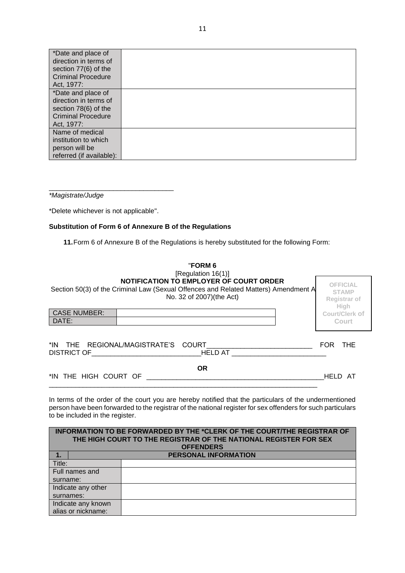| *Date and place of        |  |
|---------------------------|--|
| direction in terms of     |  |
| section 77(6) of the      |  |
| <b>Criminal Procedure</b> |  |
| Act, 1977:                |  |
| *Date and place of        |  |
| direction in terms of     |  |
| section 78(6) of the      |  |
| <b>Criminal Procedure</b> |  |
| Act, 1977:                |  |
| Name of medical           |  |
| institution to which      |  |
| person will be            |  |
| referred (if available):  |  |

*\*Magistrate/Judge*

\*Delete whichever is not applicable".

\_\_\_\_\_\_\_\_\_\_\_\_\_\_\_\_\_\_\_\_\_\_\_\_\_\_\_\_\_\_\_\_\_

#### **Substitution of Form 6 of Annexure B of the Regulations**

**11.**Form 6 of Annexure B of the Regulations is hereby substituted for the following Form:

| "FORM 6<br>[Regulation $16(1)$ ]                                                                                                                                  |                                                                |
|-------------------------------------------------------------------------------------------------------------------------------------------------------------------|----------------------------------------------------------------|
| <b>NOTIFICATION TO EMPLOYER OF COURT ORDER</b><br>Section 50(3) of the Criminal Law (Sexual Offences and Related Matters) Amendment A<br>No. 32 of 2007)(the Act) | <b>OFFICIAL</b><br><b>STAMP</b><br><b>Registrar of</b><br>High |
| <b>CASE NUMBER:</b><br>DATE:                                                                                                                                      | Court/Clerk of<br>Court                                        |
|                                                                                                                                                                   |                                                                |
| *IN THE REGIONAL/MAGISTRATE'S COURT<br><b>DISTRICT OF</b><br>HELD AT                                                                                              | <b>THE</b><br>FOR.                                             |
| <b>OR</b><br>*IN THE HIGH COURT OF                                                                                                                                | HELD AT                                                        |

In terms of the order of the court you are hereby notified that the particulars of the undermentioned person have been forwarded to the registrar of the national register for sex offenders for such particulars to be included in the register.

|                    | <b>INFORMATION TO BE FORWARDED BY THE *CLERK OF THE COURT/THE REGISTRAR OF</b><br>THE HIGH COURT TO THE REGISTRAR OF THE NATIONAL REGISTER FOR SEX |
|--------------------|----------------------------------------------------------------------------------------------------------------------------------------------------|
|                    | <b>OFFENDERS</b>                                                                                                                                   |
|                    | <b>PERSONAL INFORMATION</b>                                                                                                                        |
| Title:             |                                                                                                                                                    |
| Full names and     |                                                                                                                                                    |
| surname:           |                                                                                                                                                    |
| Indicate any other |                                                                                                                                                    |
| surnames:          |                                                                                                                                                    |
| Indicate any known |                                                                                                                                                    |
| alias or nickname: |                                                                                                                                                    |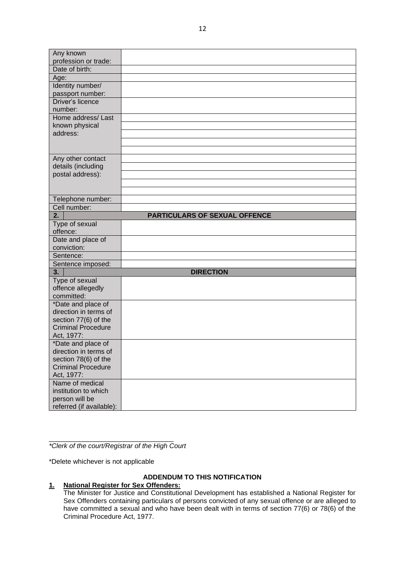| Any known                                         |                               |
|---------------------------------------------------|-------------------------------|
| profession or trade:                              |                               |
| Date of birth:                                    |                               |
| Age:                                              |                               |
| Identity number/                                  |                               |
| passport number:                                  |                               |
| Driver's licence                                  |                               |
| number:                                           |                               |
| Home address/Last                                 |                               |
| known physical                                    |                               |
| address:                                          |                               |
|                                                   |                               |
|                                                   |                               |
| Any other contact                                 |                               |
| details (including                                |                               |
| postal address):                                  |                               |
|                                                   |                               |
|                                                   |                               |
| Telephone number:                                 |                               |
| Cell number:                                      |                               |
| 2.                                                | PARTICULARS OF SEXUAL OFFENCE |
| Type of sexual<br>offence:                        |                               |
| Date and place of                                 |                               |
| conviction:                                       |                               |
| Sentence:                                         |                               |
| Sentence imposed:                                 |                               |
| 3.                                                | <b>DIRECTION</b>              |
| Type of sexual                                    |                               |
| offence allegedly                                 |                               |
| committed:                                        |                               |
| *Date and place of                                |                               |
| direction in terms of                             |                               |
| section 77(6) of the                              |                               |
| <b>Criminal Procedure</b>                         |                               |
| Act, 1977:                                        |                               |
| *Date and place of<br>direction in terms of       |                               |
|                                                   |                               |
| section 78(6) of the<br><b>Criminal Procedure</b> |                               |
| Act, 1977:                                        |                               |
| Name of medical                                   |                               |
| institution to which                              |                               |
| person will be                                    |                               |
| referred (if available):                          |                               |
|                                                   |                               |

\_\_\_\_\_\_\_\_\_\_\_\_\_\_\_\_\_\_\_\_\_\_\_\_\_\_\_\_\_\_\_\_\_ *\*Clerk of the court/Registrar of the High Court*

\*Delete whichever is not applicable

## **ADDENDUM TO THIS NOTIFICATION**

### **1. National Register for Sex Offenders:**

The Minister for Justice and Constitutional Development has established a National Register for Sex Offenders containing particulars of persons convicted of any sexual offence or are alleged to have committed a sexual and who have been dealt with in terms of section 77(6) or 78(6) of the Criminal Procedure Act, 1977.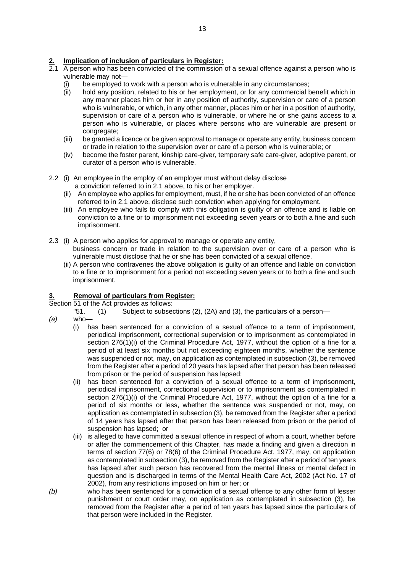### **2. Implication of inclusion of particulars in Register:**

- 2.1 A person who has been convicted of the commission of a sexual offence against a person who is vulnerable may not—
	- (i) be employed to work with a person who is vulnerable in any circumstances;
	- (ii) hold any position, related to his or her employment, or for any commercial benefit which in any manner places him or her in any position of authority, supervision or care of a person who is vulnerable, or which, in any other manner, places him or her in a position of authority, supervision or care of a person who is vulnerable, or where he or she gains access to a person who is vulnerable, or places where persons who are vulnerable are present or congregate:
	- (iii) be granted a licence or be given approval to manage or operate any entity, business concern or trade in relation to the supervision over or care of a person who is vulnerable; or
	- (iv) become the foster parent, kinship care-giver, temporary safe care-giver, adoptive parent, or curator of a person who is vulnerable.
- 2.2 (i) An employee in the employ of an employer must without delay disclose
	- a conviction referred to in 2.1 above, to his or her employer.
	- (ii) An employee who applies for employment, must, if he or she has been convicted of an offence referred to in 2.1 above, disclose such conviction when applying for employment.
	- (iii) An employee who fails to comply with this obligation is guilty of an offence and is liable on conviction to a fine or to imprisonment not exceeding seven years or to both a fine and such imprisonment.
- 2.3 (i) A person who applies for approval to manage or operate any entity, business concern or trade in relation to the supervision over or care of a person who is vulnerable must disclose that he or she has been convicted of a sexual offence.
	- (ii) A person who contravenes the above obligation is guilty of an offence and liable on conviction to a fine or to imprisonment for a period not exceeding seven years or to both a fine and such imprisonment.

### **3. Removal of particulars from Register:**

Section 51 of the Act provides as follows:

- "51. (1) Subject to subsections (2), (2A) and (3), the particulars of a person—
- *(a)* who—
	- (i) has been sentenced for a conviction of a sexual offence to a term of imprisonment, periodical imprisonment, correctional supervision or to imprisonment as contemplated in section  $276(1)(i)$  of the Criminal Procedure Act, 1977, without the option of a fine for a period of at least six months but not exceeding eighteen months, whether the sentence was suspended or not, may, on application as contemplated in subsection (3), be removed from the Register after a period of 20 years has lapsed after that person has been released from prison or the period of suspension has lapsed;
	- (ii) has been sentenced for a conviction of a sexual offence to a term of imprisonment, periodical imprisonment, correctional supervision or to imprisonment as contemplated in section 276(1)(i) of the Criminal Procedure Act, 1977, without the option of a fine for a period of six months or less, whether the sentence was suspended or not, may, on application as contemplated in subsection (3), be removed from the Register after a period of 14 years has lapsed after that person has been released from prison or the period of suspension has lapsed; or
	- (iii) is alleged to have committed a sexual offence in respect of whom a court, whether before or after the commencement of this Chapter, has made a finding and given a direction in terms of section 77(6) or 78(6) of the Criminal Procedure Act, 1977, may, on application as contemplated in subsection (3), be removed from the Register after a period of ten years has lapsed after such person has recovered from the mental illness or mental defect in question and is discharged in terms of the Mental Health Care Act, 2002 (Act No. 17 of 2002), from any restrictions imposed on him or her; or
- *(b)* who has been sentenced for a conviction of a sexual offence to any other form of lesser punishment or court order may, on application as contemplated in subsection (3), be removed from the Register after a period of ten years has lapsed since the particulars of that person were included in the Register.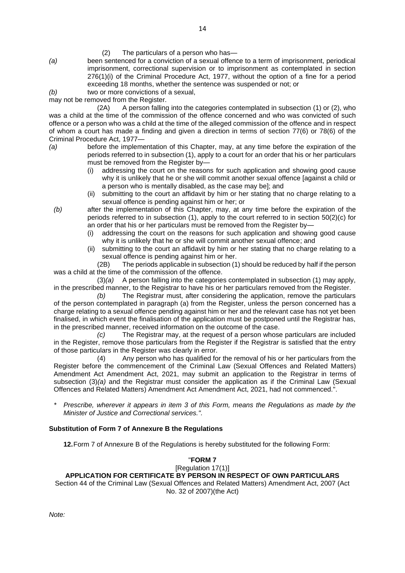(2) The particulars of a person who has—

*(a)* been sentenced for a conviction of a sexual offence to a term of imprisonment, periodical imprisonment, correctional supervision or to imprisonment as contemplated in section 276(1)(i) of the Criminal Procedure Act, 1977, without the option of a fine for a period exceeding 18 months, whether the sentence was suspended or not; or

*(b)* two or more convictions of a sexual,

may not be removed from the Register.<br>(2A) A person falling

A person falling into the categories contemplated in subsection (1) or (2), who was a child at the time of the commission of the offence concerned and who was convicted of such offence or a person who was a child at the time of the alleged commission of the offence and in respect of whom a court has made a finding and given a direction in terms of section 77(6) or 78(6) of the Criminal Procedure Act, 1977—

- *(a)* before the implementation of this Chapter, may, at any time before the expiration of the periods referred to in subsection (1), apply to a court for an order that his or her particulars must be removed from the Register by—
	- (i) addressing the court on the reasons for such application and showing good cause why it is unlikely that he or she will commit another sexual offence [against a child or a person who is mentally disabled, as the case may be]; and
	- (ii) submitting to the court an affidavit by him or her stating that no charge relating to a sexual offence is pending against him or her; or
	- *(b)* after the implementation of this Chapter, may, at any time before the expiration of the periods referred to in subsection (1), apply to the court referred to in section 50(2)(c) for an order that his or her particulars must be removed from the Register by—
		- (i) addressing the court on the reasons for such application and showing good cause why it is unlikely that he or she will commit another sexual offence; and
		- (ii) submitting to the court an affidavit by him or her stating that no charge relating to a sexual offence is pending against him or her.

(2B) The periods applicable in subsection (1) should be reduced by half if the person was a child at the time of the commission of the offence.

(3)*(a)* A person falling into the categories contemplated in subsection (1) may apply, in the prescribed manner, to the Registrar to have his or her particulars removed from the Register.

*(b)* The Registrar must, after considering the application, remove the particulars of the person contemplated in paragraph (a) from the Register, unless the person concerned has a charge relating to a sexual offence pending against him or her and the relevant case has not yet been finalised, in which event the finalisation of the application must be postponed until the Registrar has, in the prescribed manner, received information on the outcome of the case.

*(c)* The Registrar may, at the request of a person whose particulars are included in the Register, remove those particulars from the Register if the Registrar is satisfied that the entry of those particulars in the Register was clearly in error.

(4) Any person who has qualified for the removal of his or her particulars from the Register before the commencement of the Criminal Law (Sexual Offences and Related Matters) Amendment Act Amendment Act, 2021, may submit an application to the Registrar in terms of subsection (3)*(a)* and the Registrar must consider the application as if the Criminal Law (Sexual Offences and Related Matters) Amendment Act Amendment Act, 2021, had not commenced.".

*\* Prescribe, wherever it appears in item 3 of this Form, means the Regulations as made by the Minister of Justice and Correctional services.".*

### **Substitution of Form 7 of Annexure B the Regulations**

**12.**Form 7 of Annexure B of the Regulations is hereby substituted for the following Form:

### "**FORM 7**

### [Regulation 17(1)] **APPLICATION FOR CERTIFICATE BY PERSON IN RESPECT OF OWN PARTICULARS** Section 44 of the Criminal Law (Sexual Offences and Related Matters) Amendment Act, 2007 (Act No. 32 of 2007)(the Act)

*Note:*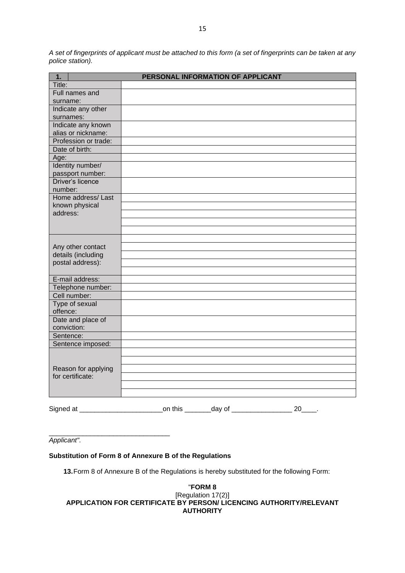*A set of fingerprints of applicant must be attached to this form (a set of fingerprints can be taken at any police station).*

| Title:<br>Full names and<br>surname:<br>Indicate any other<br>surnames:<br>Indicate any known<br>alias or nickname:<br>Profession or trade:<br>Date of birth:<br>Age:<br>Identity number/<br>passport number:<br>Driver's licence<br>number:<br>Home address/Last<br>known physical<br>address:<br>Any other contact<br>details (including<br>postal address):<br>E-mail address:<br>Telephone number:<br>Cell number:<br>Type of sexual<br>offence:<br>Date and place of<br>conviction:<br>Sentence:<br>Sentence imposed:<br>Reason for applying<br>for certificate: | 1.        | PERSONAL INFORMATION OF APPLICANT |
|-----------------------------------------------------------------------------------------------------------------------------------------------------------------------------------------------------------------------------------------------------------------------------------------------------------------------------------------------------------------------------------------------------------------------------------------------------------------------------------------------------------------------------------------------------------------------|-----------|-----------------------------------|
|                                                                                                                                                                                                                                                                                                                                                                                                                                                                                                                                                                       |           |                                   |
|                                                                                                                                                                                                                                                                                                                                                                                                                                                                                                                                                                       |           |                                   |
|                                                                                                                                                                                                                                                                                                                                                                                                                                                                                                                                                                       |           |                                   |
|                                                                                                                                                                                                                                                                                                                                                                                                                                                                                                                                                                       |           |                                   |
|                                                                                                                                                                                                                                                                                                                                                                                                                                                                                                                                                                       |           |                                   |
|                                                                                                                                                                                                                                                                                                                                                                                                                                                                                                                                                                       |           |                                   |
|                                                                                                                                                                                                                                                                                                                                                                                                                                                                                                                                                                       |           |                                   |
|                                                                                                                                                                                                                                                                                                                                                                                                                                                                                                                                                                       |           |                                   |
|                                                                                                                                                                                                                                                                                                                                                                                                                                                                                                                                                                       |           |                                   |
|                                                                                                                                                                                                                                                                                                                                                                                                                                                                                                                                                                       |           |                                   |
|                                                                                                                                                                                                                                                                                                                                                                                                                                                                                                                                                                       |           |                                   |
|                                                                                                                                                                                                                                                                                                                                                                                                                                                                                                                                                                       |           |                                   |
|                                                                                                                                                                                                                                                                                                                                                                                                                                                                                                                                                                       |           |                                   |
|                                                                                                                                                                                                                                                                                                                                                                                                                                                                                                                                                                       |           |                                   |
|                                                                                                                                                                                                                                                                                                                                                                                                                                                                                                                                                                       |           |                                   |
|                                                                                                                                                                                                                                                                                                                                                                                                                                                                                                                                                                       |           |                                   |
|                                                                                                                                                                                                                                                                                                                                                                                                                                                                                                                                                                       |           |                                   |
|                                                                                                                                                                                                                                                                                                                                                                                                                                                                                                                                                                       |           |                                   |
|                                                                                                                                                                                                                                                                                                                                                                                                                                                                                                                                                                       |           |                                   |
|                                                                                                                                                                                                                                                                                                                                                                                                                                                                                                                                                                       |           |                                   |
|                                                                                                                                                                                                                                                                                                                                                                                                                                                                                                                                                                       |           |                                   |
|                                                                                                                                                                                                                                                                                                                                                                                                                                                                                                                                                                       |           |                                   |
|                                                                                                                                                                                                                                                                                                                                                                                                                                                                                                                                                                       |           |                                   |
|                                                                                                                                                                                                                                                                                                                                                                                                                                                                                                                                                                       |           |                                   |
|                                                                                                                                                                                                                                                                                                                                                                                                                                                                                                                                                                       |           |                                   |
|                                                                                                                                                                                                                                                                                                                                                                                                                                                                                                                                                                       |           |                                   |
|                                                                                                                                                                                                                                                                                                                                                                                                                                                                                                                                                                       |           |                                   |
|                                                                                                                                                                                                                                                                                                                                                                                                                                                                                                                                                                       |           |                                   |
|                                                                                                                                                                                                                                                                                                                                                                                                                                                                                                                                                                       |           |                                   |
|                                                                                                                                                                                                                                                                                                                                                                                                                                                                                                                                                                       |           |                                   |
|                                                                                                                                                                                                                                                                                                                                                                                                                                                                                                                                                                       |           |                                   |
|                                                                                                                                                                                                                                                                                                                                                                                                                                                                                                                                                                       |           |                                   |
|                                                                                                                                                                                                                                                                                                                                                                                                                                                                                                                                                                       |           |                                   |
|                                                                                                                                                                                                                                                                                                                                                                                                                                                                                                                                                                       |           |                                   |
|                                                                                                                                                                                                                                                                                                                                                                                                                                                                                                                                                                       |           |                                   |
|                                                                                                                                                                                                                                                                                                                                                                                                                                                                                                                                                                       |           |                                   |
|                                                                                                                                                                                                                                                                                                                                                                                                                                                                                                                                                                       |           |                                   |
|                                                                                                                                                                                                                                                                                                                                                                                                                                                                                                                                                                       |           |                                   |
|                                                                                                                                                                                                                                                                                                                                                                                                                                                                                                                                                                       |           |                                   |
|                                                                                                                                                                                                                                                                                                                                                                                                                                                                                                                                                                       | Signed at | on this _________day of ___<br>20 |

\_\_\_\_\_\_\_\_\_\_\_\_\_\_\_\_\_\_\_\_\_\_\_\_\_\_\_\_\_\_\_\_ *Applicant".*

### **Substitution of Form 8 of Annexure B of the Regulations**

**13.**Form 8 of Annexure B of the Regulations is hereby substituted for the following Form:

#### "**FORM 8** [Regulation 17(2)] **APPLICATION FOR CERTIFICATE BY PERSON/ LICENCING AUTHORITY/RELEVANT AUTHORITY**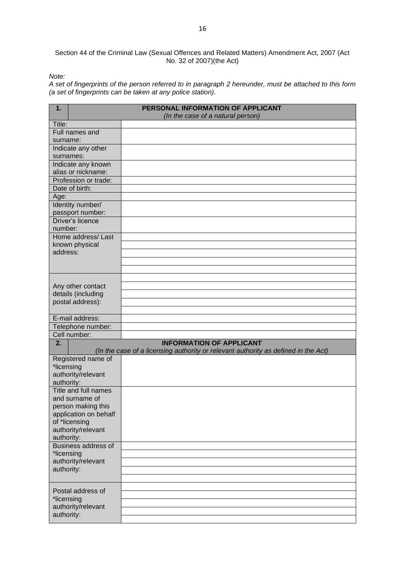Section 44 of the Criminal Law (Sexual Offences and Related Matters) Amendment Act, 2007 (Act No. 32 of 2007)(the Act)

*Note:*

*A set of fingerprints of the person referred to in paragraph 2 hereunder, must be attached to this form (a set of fingerprints can be taken at any police station).*

| 1.                         | PERSONAL INFORMATION OF APPLICANT<br>(In the case of a natural person)                                                |
|----------------------------|-----------------------------------------------------------------------------------------------------------------------|
| Title:                     |                                                                                                                       |
| Full names and             |                                                                                                                       |
| surname:                   |                                                                                                                       |
| Indicate any other         |                                                                                                                       |
| surnames:                  |                                                                                                                       |
| Indicate any known         |                                                                                                                       |
| alias or nickname:         |                                                                                                                       |
| Profession or trade:       |                                                                                                                       |
| Date of birth:             |                                                                                                                       |
| Age:                       |                                                                                                                       |
| Identity number/           |                                                                                                                       |
| passport number:           |                                                                                                                       |
| Driver's licence           |                                                                                                                       |
| number:                    |                                                                                                                       |
| Home address/Last          |                                                                                                                       |
| known physical             |                                                                                                                       |
| address:                   |                                                                                                                       |
|                            |                                                                                                                       |
|                            |                                                                                                                       |
|                            |                                                                                                                       |
| Any other contact          |                                                                                                                       |
| details (including         |                                                                                                                       |
| postal address):           |                                                                                                                       |
|                            |                                                                                                                       |
| E-mail address:            |                                                                                                                       |
| Telephone number:          |                                                                                                                       |
| Cell number:               |                                                                                                                       |
| 2.                         | <b>INFORMATION OF APPLICANT</b><br>(In the case of a licensing authority or relevant authority as defined in the Act) |
| Registered name of         |                                                                                                                       |
| *licensing                 |                                                                                                                       |
| authority/relevant         |                                                                                                                       |
| authority:                 |                                                                                                                       |
| Title and full names       |                                                                                                                       |
| and surname of             |                                                                                                                       |
| person making this         |                                                                                                                       |
| application on behalf      |                                                                                                                       |
| of *licensing              |                                                                                                                       |
| authority/relevant         |                                                                                                                       |
| authority:                 |                                                                                                                       |
| <b>Business address of</b> |                                                                                                                       |
| *licensing                 |                                                                                                                       |
| authority/relevant         |                                                                                                                       |
| authority:                 |                                                                                                                       |
|                            |                                                                                                                       |
| Postal address of          |                                                                                                                       |
| *licensing                 |                                                                                                                       |
| authority/relevant         |                                                                                                                       |
| authority:                 |                                                                                                                       |
|                            |                                                                                                                       |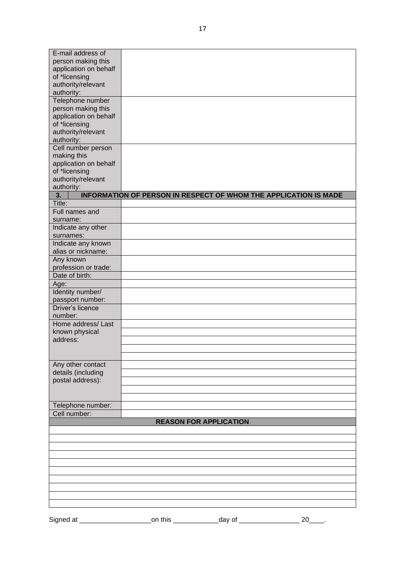| E-mail address of     |                                                                         |
|-----------------------|-------------------------------------------------------------------------|
| person making this    |                                                                         |
| application on behalf |                                                                         |
| of *licensing         |                                                                         |
| authority/relevant    |                                                                         |
| authority:            |                                                                         |
| Telephone number      |                                                                         |
| person making this    |                                                                         |
| application on behalf |                                                                         |
|                       |                                                                         |
| of *licensing         |                                                                         |
| authority/relevant    |                                                                         |
| authority:            |                                                                         |
| Cell number person    |                                                                         |
| making this           |                                                                         |
| application on behalf |                                                                         |
| of *licensing         |                                                                         |
| authority/relevant    |                                                                         |
| authority:            |                                                                         |
| 3.                    | <b>INFORMATION OF PERSON IN RESPECT OF WHOM THE APPLICATION IS MADE</b> |
| Title:                |                                                                         |
| Full names and        |                                                                         |
|                       |                                                                         |
| surname:              |                                                                         |
| Indicate any other    |                                                                         |
| surnames:             |                                                                         |
| Indicate any known    |                                                                         |
| alias or nickname:    |                                                                         |
| Any known             |                                                                         |
| profession or trade:  |                                                                         |
| Date of birth:        |                                                                         |
| Age:                  |                                                                         |
| Identity number/      |                                                                         |
|                       |                                                                         |
| passport number:      |                                                                         |
| Driver's licence      |                                                                         |
| number:               |                                                                         |
| Home address/Last     |                                                                         |
| known physical        |                                                                         |
| address:              |                                                                         |
|                       |                                                                         |
|                       |                                                                         |
| Any other contact     |                                                                         |
| details (including    |                                                                         |
| postal address):      |                                                                         |
|                       |                                                                         |
|                       |                                                                         |
|                       |                                                                         |
| Telephone number:     |                                                                         |
| Cell number:          |                                                                         |
|                       | <b>REASON FOR APPLICATION</b>                                           |
|                       |                                                                         |
|                       |                                                                         |
|                       |                                                                         |
|                       |                                                                         |
|                       |                                                                         |
|                       |                                                                         |
|                       |                                                                         |
|                       |                                                                         |
|                       |                                                                         |
|                       |                                                                         |
|                       |                                                                         |
|                       |                                                                         |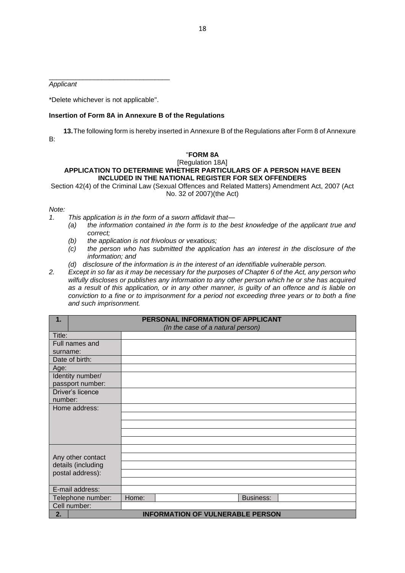*Applicant*

\*Delete whichever is not applicable".

\_\_\_\_\_\_\_\_\_\_\_\_\_\_\_\_\_\_\_\_\_\_\_\_\_\_\_\_\_\_\_\_

### **Insertion of Form 8A in Annexure B of the Regulations**

**13.**The following form is hereby inserted in Annexure B of the Regulations after Form 8 of Annexure B:

### "**FORM 8A**

#### [Regulation 18A] **APPLICATION TO DETERMINE WHETHER PARTICULARS OF A PERSON HAVE BEEN INCLUDED IN THE NATIONAL REGISTER FOR SEX OFFENDERS**

Section 42(4) of the Criminal Law (Sexual Offences and Related Matters) Amendment Act, 2007 (Act No. 32 of 2007)(the Act)

### *Note:*

- *1. This application is in the form of a sworn affidavit that—*
	- *(a) the information contained in the form is to the best knowledge of the applicant true and correct;*
	- *(b) the application is not frivolous or vexatious;*
	- *(c) the person who has submitted the application has an interest in the disclosure of the information; and*
	- *(d) disclosure of the information is in the interest of an identifiable vulnerable person.*
- *2. Except in so far as it may be necessary for the purposes of Chapter 6 of the Act, any person who wilfully discloses or publishes any information to any other person which he or she has acquired as a result of this application, or in any other manner, is guilty of an offence and is liable on conviction to a fine or to imprisonment for a period not exceeding three years or to both a fine and such imprisonment.*

| 1.                 |       | PERSONAL INFORMATION OF APPLICANT       |
|--------------------|-------|-----------------------------------------|
|                    |       | (In the case of a natural person)       |
| Title:             |       |                                         |
| Full names and     |       |                                         |
| surname:           |       |                                         |
| Date of birth:     |       |                                         |
| Age:               |       |                                         |
| Identity number/   |       |                                         |
| passport number:   |       |                                         |
| Driver's licence   |       |                                         |
| number:            |       |                                         |
| Home address:      |       |                                         |
|                    |       |                                         |
|                    |       |                                         |
|                    |       |                                         |
|                    |       |                                         |
|                    |       |                                         |
| Any other contact  |       |                                         |
| details (including |       |                                         |
| postal address):   |       |                                         |
|                    |       |                                         |
| E-mail address:    |       |                                         |
| Telephone number:  | Home: | Business:                               |
| Cell number:       |       |                                         |
| 2.                 |       | <b>INFORMATION OF VULNERABLE PERSON</b> |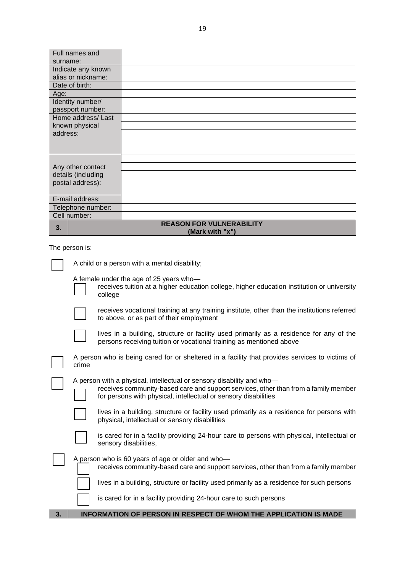| Full names and     |                                                    |
|--------------------|----------------------------------------------------|
| surname:           |                                                    |
| Indicate any known |                                                    |
| alias or nickname: |                                                    |
| Date of birth:     |                                                    |
| Age:               |                                                    |
| Identity number/   |                                                    |
| passport number:   |                                                    |
| Home address/Last  |                                                    |
| known physical     |                                                    |
| address:           |                                                    |
|                    |                                                    |
|                    |                                                    |
|                    |                                                    |
| Any other contact  |                                                    |
| details (including |                                                    |
| postal address):   |                                                    |
|                    |                                                    |
| E-mail address:    |                                                    |
| Telephone number:  |                                                    |
| Cell number:       |                                                    |
| 3.                 | <b>REASON FOR VULNERABILITY</b><br>(Mark with "x") |

The person is:

|    |       | receives tuition at a higher education college, higher education institution or university<br>college                                                                                                                           |
|----|-------|---------------------------------------------------------------------------------------------------------------------------------------------------------------------------------------------------------------------------------|
|    |       | receives vocational training at any training institute, other than the institutions referred<br>to above, or as part of their employment                                                                                        |
|    |       | lives in a building, structure or facility used primarily as a residence for any of the<br>persons receiving tuition or vocational training as mentioned above                                                                  |
|    | crime | A person who is being cared for or sheltered in a facility that provides services to victims of                                                                                                                                 |
|    |       | A person with a physical, intellectual or sensory disability and who-<br>receives community-based care and support services, other than from a family member<br>for persons with physical, intellectual or sensory disabilities |
|    |       | lives in a building, structure or facility used primarily as a residence for persons with<br>physical, intellectual or sensory disabilities                                                                                     |
|    |       | is cared for in a facility providing 24-hour care to persons with physical, intellectual or<br>sensory disabilities,                                                                                                            |
|    |       | A person who is 60 years of age or older and who-<br>receives community-based care and support services, other than from a family member                                                                                        |
|    |       | lives in a building, structure or facility used primarily as a residence for such persons                                                                                                                                       |
|    |       | is cared for in a facility providing 24-hour care to such persons                                                                                                                                                               |
| 3. |       | <b>INFORMATION OF PERSON IN RESPECT OF WHOM THE APPLICATION IS MADE</b>                                                                                                                                                         |

A child or a person with a mental disability;

A female under the age of 25 years who—

receives tuition at a higher education college, higher education institution or university

19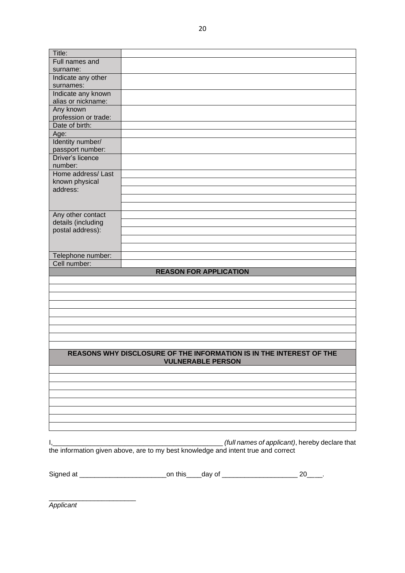| Title:               |                                                                                                 |  |
|----------------------|-------------------------------------------------------------------------------------------------|--|
| Full names and       |                                                                                                 |  |
| surname:             |                                                                                                 |  |
| Indicate any other   |                                                                                                 |  |
| surnames:            |                                                                                                 |  |
| Indicate any known   |                                                                                                 |  |
| alias or nickname:   |                                                                                                 |  |
| Any known            |                                                                                                 |  |
| profession or trade: |                                                                                                 |  |
| Date of birth:       |                                                                                                 |  |
| Age:                 |                                                                                                 |  |
| Identity number/     |                                                                                                 |  |
| passport number:     |                                                                                                 |  |
| Driver's licence     |                                                                                                 |  |
| number:              |                                                                                                 |  |
| Home address/Last    |                                                                                                 |  |
| known physical       |                                                                                                 |  |
| address:             |                                                                                                 |  |
|                      |                                                                                                 |  |
|                      |                                                                                                 |  |
| Any other contact    |                                                                                                 |  |
| details (including   |                                                                                                 |  |
| postal address):     |                                                                                                 |  |
|                      |                                                                                                 |  |
|                      |                                                                                                 |  |
|                      |                                                                                                 |  |
|                      |                                                                                                 |  |
| Telephone number:    |                                                                                                 |  |
| Cell number:         |                                                                                                 |  |
|                      | <b>REASON FOR APPLICATION</b>                                                                   |  |
|                      |                                                                                                 |  |
|                      |                                                                                                 |  |
|                      |                                                                                                 |  |
|                      |                                                                                                 |  |
|                      |                                                                                                 |  |
|                      |                                                                                                 |  |
|                      |                                                                                                 |  |
|                      |                                                                                                 |  |
|                      |                                                                                                 |  |
|                      | REASONS WHY DISCLOSURE OF THE INFORMATION IS IN THE INTEREST OF THE<br><b>VULNERABLE PERSON</b> |  |
|                      |                                                                                                 |  |
|                      |                                                                                                 |  |
|                      |                                                                                                 |  |
|                      |                                                                                                 |  |
|                      |                                                                                                 |  |
|                      |                                                                                                 |  |
|                      |                                                                                                 |  |
|                      |                                                                                                 |  |
|                      |                                                                                                 |  |
|                      |                                                                                                 |  |
|                      |                                                                                                 |  |
|                      |                                                                                                 |  |
|                      |                                                                                                 |  |
|                      |                                                                                                 |  |

*Applicant*

\_\_\_\_\_\_\_\_\_\_\_\_\_\_\_\_\_\_\_\_\_\_\_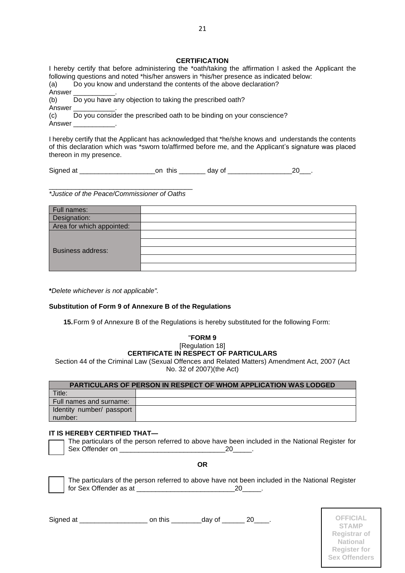#### **CERTIFICATION**

|        | I hereby certify that before administering the *oath/taking the affirmation I asked the Applicant the |
|--------|-------------------------------------------------------------------------------------------------------|
|        | following questions and noted *his/her answers in *his/her presence as indicated below:               |
| (a)    | Do you know and understand the contents of the above declaration?                                     |
|        | Answer ______________.                                                                                |
| (b)    | Do you have any objection to taking the prescribed oath?                                              |
| Answer |                                                                                                       |
| (c)    | Do you consider the prescribed oath to be binding on your conscience?                                 |
|        | Answer ______________.                                                                                |
|        |                                                                                                       |
|        | I hereby certify that the Applicant has acknowledged that *he/she knows and understands the contents  |

of this declaration which was \*sworn to/affirmed before me, and the Applicant's signature was placed thereon in my presence.

Signed at \_\_\_\_\_\_\_\_\_\_\_\_\_\_\_\_\_\_\_\_on this \_\_\_\_\_\_\_ day of \_\_\_\_\_\_\_\_\_\_\_\_\_\_\_\_\_20\_\_\_.

\_\_\_\_\_\_\_\_\_\_\_\_\_\_\_\_\_\_\_\_\_\_\_\_\_\_\_\_\_\_\_\_\_\_\_\_\_\_ *\*Justice of the Peace/Commissioner of Oaths*

| Full names:               |  |
|---------------------------|--|
| Designation:              |  |
| Area for which appointed: |  |
|                           |  |
|                           |  |
| <b>Business address:</b>  |  |
|                           |  |
|                           |  |

**\****Delete whichever is not applicable".*

### **Substitution of Form 9 of Annexure B of the Regulations**

**15.**Form 9 of Annexure B of the Regulations is hereby substituted for the following Form:

#### "**FORM 9** [Regulation 18] **CERTIFICATE IN RESPECT OF PARTICULARS**

Section 44 of the Criminal Law (Sexual Offences and Related Matters) Amendment Act, 2007 (Act No. 32 of 2007)(the Act)

| <b>PARTICULARS OF PERSON IN RESPECT OF WHOM APPLICATION WAS LODGED</b> |  |  |  |  |
|------------------------------------------------------------------------|--|--|--|--|
| Title:                                                                 |  |  |  |  |
| Full names and surname:                                                |  |  |  |  |
| Identity number/ passport                                              |  |  |  |  |
| number:                                                                |  |  |  |  |

#### **IT IS HEREBY CERTIFIED THAT—**

The particulars of the person referred to above have been included in the National Register for Sex Offender on \_\_\_\_\_\_\_\_\_\_\_\_\_\_\_\_\_\_\_\_\_\_\_\_\_\_\_\_20\_\_\_\_\_.

**OR**



The particulars of the person referred to above have not been included in the National Register for Sex Offender as at  $20$ 

Signed at \_\_\_\_\_\_\_\_\_\_\_\_\_\_\_\_\_\_ on this \_\_\_\_\_\_\_\_day of \_\_\_\_\_\_ 20\_\_\_\_. **OFFICIAL**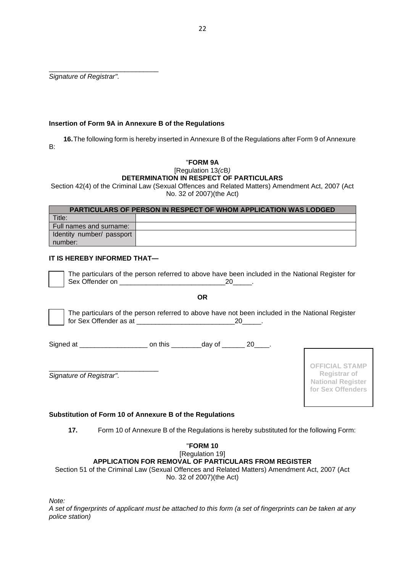\_\_\_\_\_\_\_\_\_\_\_\_\_\_\_\_\_\_\_\_\_\_\_\_\_\_\_\_\_ *Signature of Registrar".*

### **Insertion of Form 9A in Annexure B of the Regulations**

**16.**The following form is hereby inserted in Annexure B of the Regulations after Form 9 of Annexure B:

# "**FORM 9A**

#### [Regulation 13*(c*B*)* **DETERMINATION IN RESPECT OF PARTICULARS**

Section 42(4) of the Criminal Law (Sexual Offences and Related Matters) Amendment Act, 2007 (Act No. 32 of 2007)(the Act)

| <b>PARTICULARS OF PERSON IN RESPECT OF WHOM APPLICATION WAS LODGED</b> |  |  |  |  |
|------------------------------------------------------------------------|--|--|--|--|
| Title:                                                                 |  |  |  |  |
| Full names and surname:                                                |  |  |  |  |
| I Identity number/ passport                                            |  |  |  |  |
| number:                                                                |  |  |  |  |

## **IT IS HEREBY INFORMED THAT—**

The particulars of the person referred to above have been included in the National Register for Sex Offender on  $20$ 

**OR**

The particulars of the person referred to above have not been included in the National Register for Sex Offender as at  $20$ 

Signed at \_\_\_\_\_\_\_\_\_\_\_\_\_\_\_\_\_\_\_\_\_\_\_\_\_\_ on this \_\_\_\_\_\_\_\_\_\_day of \_\_\_\_\_\_\_ 20\_\_\_\_\_.

\_\_\_\_\_\_\_\_\_\_\_\_\_\_\_\_\_\_\_\_\_\_\_\_\_\_\_\_\_ *Signature of Registrar".*

**OFFICIAL STAMP Registrar of National Register for Sex Offenders**

### **Substitution of Form 10 of Annexure B of the Regulations**

**17.** Form 10 of Annexure B of the Regulations is hereby substituted for the following Form:

### "**FORM 10** [Regulation 19] **APPLICATION FOR REMOVAL OF PARTICULARS FROM REGISTER** Section 51 of the Criminal Law (Sexual Offences and Related Matters) Amendment Act, 2007 (Act

No. 32 of 2007)(the Act)

*Note:*

*A set of fingerprints of applicant must be attached to this form (a set of fingerprints can be taken at any police station)*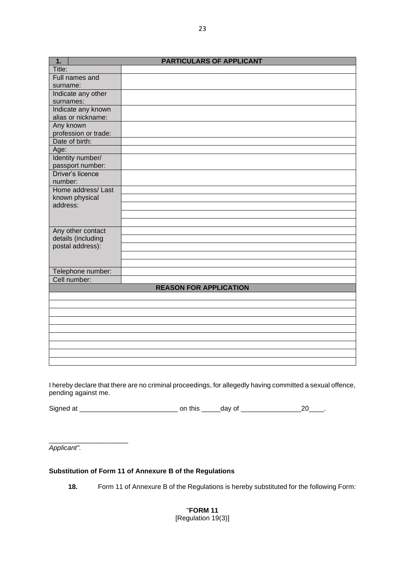| 1.                         | <b>PARTICULARS OF APPLICANT</b> |
|----------------------------|---------------------------------|
| Title:                     |                                 |
| Full names and             |                                 |
| surname:                   |                                 |
| Indicate any other         |                                 |
| surnames:                  |                                 |
| Indicate any known         |                                 |
| alias or nickname:         |                                 |
| Any known                  |                                 |
| profession or trade:       |                                 |
| Date of birth:             |                                 |
| Age:                       |                                 |
| Identity number/           |                                 |
| passport number:           |                                 |
| Driver's licence           |                                 |
| number:                    |                                 |
| Home address/Last          |                                 |
| known physical<br>address: |                                 |
|                            |                                 |
|                            |                                 |
| Any other contact          |                                 |
| details (including         |                                 |
| postal address):           |                                 |
|                            |                                 |
|                            |                                 |
| Telephone number:          |                                 |
| Cell number:               |                                 |
|                            | <b>REASON FOR APPLICATION</b>   |
|                            |                                 |
|                            |                                 |
|                            |                                 |
|                            |                                 |
|                            |                                 |
|                            |                                 |
|                            |                                 |
|                            |                                 |
|                            |                                 |

I hereby declare that there are no criminal proceedings, for allegedly having committed a sexual offence, pending against me.

Signed at \_\_\_\_\_\_\_\_\_\_\_\_\_\_\_\_\_\_\_\_\_\_\_\_\_\_ on this \_\_\_\_\_day of \_\_\_\_\_\_\_\_\_\_\_\_\_\_\_\_20\_\_\_\_.

*Applicant".*

\_\_\_\_\_\_\_\_\_\_\_\_\_\_\_\_\_\_\_\_\_

### **Substitution of Form 11 of Annexure B of the Regulations**

**18.** Form 11 of Annexure B of the Regulations is hereby substituted for the following Form:

"**FORM 11**

[Regulation 19(3)]